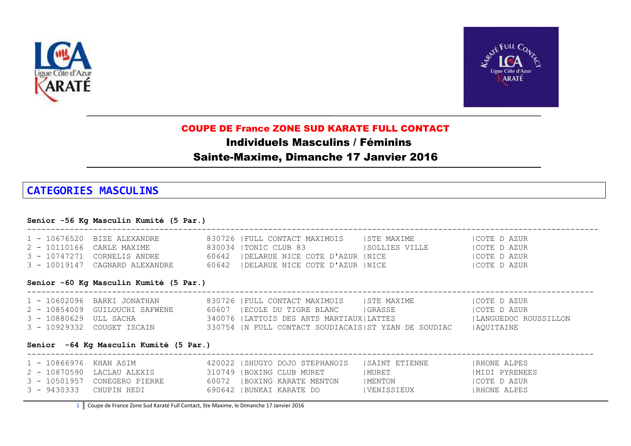



# COUPE DE France ZONE SUD KARATE FULL CONTACT

Individuels Masculins / Féminins

## Sainte-Maxime, Dimanche 17 Janvier 2016

# **CATEGORIES MASCULINS**

#### **Senior -56 Kg Masculin Kumité (5 Par.)**

| 1 - 10676520 BIZE ALEXANDRE    | 830726   FULL CONTACT MAXIMOIS          | ISTE MAXIME    | ICOTE D AZUR |
|--------------------------------|-----------------------------------------|----------------|--------------|
| 2 - 10110166 CARLE MAXIME      | 830034  TONIC CLUB 83                   | ISOLLIES VILLE | ICOTE D AZUR |
| 3 - 10747271 CORNELIS ANDRE    | 60642   DELARUE NICE COTE D'AZUR   NICE |                | ICOTE D AZUR |
| 3 - 10019147 CAGNARD ALEXANDRE | 60642   DELARUE NICE COTE D'AZUR   NICE |                | ICOTE D AZUR |

### **Senior -60 Kg Masculin Kumité (5 Par.)**

|                        | 1 - 10602096 BARKI JONATHAN    | 830726   FULL CONTACT MAXIMOIS                       | ISTE MAXIME | COTE D AZUR          |
|------------------------|--------------------------------|------------------------------------------------------|-------------|----------------------|
|                        | 2 - 10854009 GUILOUCHI SAFWENE | 60607 FECOLE DU TIGRE BLANC                          | IGRASSE     | COTE D AZUR          |
| 3 - 10880629 ULL SACHA |                                | 340076   LATTOIS DES ARTS MARTIAUX   LATTES          |             | LANGUEDOC ROUSSILLON |
|                        | 3 - 10929332 COUGET ISCAIN     | 330754  N FULL CONTACT SOUDIACAIS ST YZAN DE SOUDIAC |             | AOUITAINE            |

------------------------------------------------------------------------------------------------------------------------

### **Senior -64 Kg Masculin Kumité (5 Par.)**

| 1 - 10866976  KHAN ASIM |                              | 420022   SHUGYO DOJO STEPHANOIS | ISAINT ETIENNE | IRHONE ALPES        |
|-------------------------|------------------------------|---------------------------------|----------------|---------------------|
|                         | 2 - 10870590 LACLAU ALEXIS   | 310749   BOXING CLUB MURET      | MURET          | IMIDI PYRENEES      |
|                         | 3 - 10501957 CONEGERO PIERRE | 60072   BOXING KARATE MENTON    | MENTON         | ICOTE D AZUR        |
| 3 - 9430333 CHUPIN HEDI |                              | 690642  BUNKAI KARATE DO        | IVENISSIEUX    | <b>IRHONE ALPES</b> |

**1** Coupe de France Zone Sud Karaté Full Contact, Ste Maxime, le Dimanche 17 Janvier 2016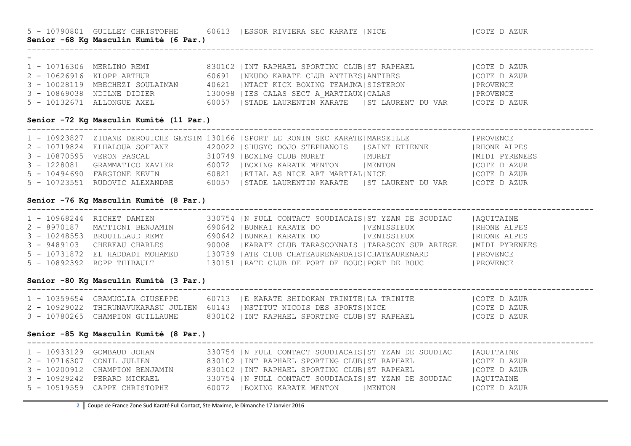5 - 10790801 GUILLEY CHRISTOPHE 60613 |ESSOR RIVIERA SEC KARATE |NICE |COTE D AZUR

**Senior -68 Kg Masculin Kumité (6 Par.)**

| $\overline{\phantom{0}}$ |                                 |                                                  |              |
|--------------------------|---------------------------------|--------------------------------------------------|--------------|
|                          | 1 - 10716306 MERLINO REMI       | 830102 IINT RAPHAEL SPORTING CLUBIST RAPHAEL     | COTE D AZUR  |
|                          | 2 - 10626916 KLOPP ARTHUR       | 60691 INKUDO KARATE CLUB ANTIBESIANTIBES         | ICOTE D AZUR |
|                          | 3 - 10028119 MBECHEZI SOULAIMAN | 40621   NTACT KICK BOXING TEAMJMA SISTERON       | PROVENCE     |
|                          | 3 - 10869038 NDILNE DIDIER      | 130098   IES CALAS SECT A MARTIAUX   CALAS       | PROVENCE     |
|                          | 5 - 10132671 ALLONGUE AXEL      | 60057 ISTADE LAURENTIN KARATE IST LAURENT DU VAR | COTE D AZUR  |

------------------------------------------------------------------------------------------------------------------------

### **Senior -72 Kg Masculin Kumité (11 Par.)**

|                                | 1 - 10923827 ZIDANE DEROUICHE GEYSIM 130166   SPORT LE RONIN SEC KARATE   MARSEILLE |         | PROVENCE            |
|--------------------------------|-------------------------------------------------------------------------------------|---------|---------------------|
| 2 - 10719824 ELHALOUA SOFIANE  | 420022   SHUGYO DOJO STEPHANOIS   SAINT ETIENNE                                     |         | <b>IRHONE ALPES</b> |
| 3 - 10870595  VERON PASCAL     | 310749  BOXING CLUB MURET                                                           | MURET   | MIDI PYRENEES       |
| 3 - 1228081 GRAMMATICO XAVIER  | 60072 IBOXING KARATE MENTON                                                         | IMENTON | ICOTE D AZUR        |
| 5 - 10494690 FARGIONE KEVIN    | 60821   RTIAL AS NICE ART MARTIAL  NICE                                             |         | <b>COTE D AZUR</b>  |
| 5 - 10723551 RUDOVIC ALEXANDRE | 60057 ISTADE LAURENTIN KARATE IST LAURENT DU VAR                                    |         | <b>COTE D AZUR</b>  |

------------------------------------------------------------------------------------------------------------------------

#### **Senior -76 Kg Masculin Kumité (8 Par.)**

|              | 1 - 10968244 RICHET DAMIEN      | 330754 IN FULL CONTACT SOUDIACAISIST YZAN DE SOUDIAC |             | AOUITAINE            |
|--------------|---------------------------------|------------------------------------------------------|-------------|----------------------|
|              | 2 - 8970187 MATTIONI BENJAMIN   | 690642   BUNKAI KARATE DO                            | VENISSIEUX  | <b>  RHONE ALPES</b> |
| 3 - 10248553 | BROUILLAUD REMY                 | 690642   BUNKAI KARATE DO                            | IVENISSIEUX | <b>  RHONE ALPES</b> |
|              | 3 - 9489103 CHEREAU CHARLES     | 90008 IKARATE CLUB TARASCONNAIS ITARASCON SUR ARIEGE |             | MIDI PYRENEES        |
|              | 5 - 10731872 EL HADDADI MOHAMED | 130739   ATE CLUB CHATEAURENARDAIS   CHATEAURENARD   |             | PROVENCE             |
|              | 5 - 10892392 ROPP THIBAULT      | 130151   RATE CLUB DE PORT DE BOUC   PORT DE BOUC    |             | PROVENCE             |

#### **Senior -80 Kg Masculin Kumité (3 Par.)**

| 1 - 10359654 GRAMUGLIA GIUSEPPE | 60713 FE KARATE SHIDOKAN TRINITEFLA TRINITE                               | ICOTE D AZUR |
|---------------------------------|---------------------------------------------------------------------------|--------------|
|                                 | 2 - 10929022 THIRUNAVUKARASU JULIEN 60143 INSTITUT NICOIS DES SPORTSINICE | ICOTE D AZUR |
| 3 - 10780265 CHAMPION GUILLAUME | 830102 IINT RAPHAEL SPORTING CLUBIST RAPHAEL                              | ICOTE D AZUR |

#### **Senior -85 Kg Masculin Kumité (8 Par.)**

| 1 - 10933129 GOMBAUD JOHAN     | 330754 IN FULL CONTACT SOUDIACAISIST YZAN DE SOUDIAC | AOUITAINE   |
|--------------------------------|------------------------------------------------------|-------------|
| 2 - 10716307 CONIL JULIEN      | 830102 IINT RAPHAEL SPORTING CLUBIST RAPHAEL         | COTE D AZUR |
| 3 - 10200912 CHAMPION BENJAMIN | 830102 IINT RAPHAEL SPORTING CLUBIST RAPHAEL         | COTE D AZUR |
| 3 - 10929242 PERARD MICKAEL    | 330754  N FULL CONTACT SOUDIACAIS ST YZAN DE SOUDIAC | AOUITAINE   |
| 5 - 10519559 CAPPE CHRISTOPHE  | 60072 IBOXING KARATE MENTON<br>IMENTON               | COTE D AZUR |

------------------------------------------------------------------------------------------------------------------------

**2** Coupe de France Zone Sud Karaté Full Contact, Ste Maxime, le Dimanche 17 Janvier 2016